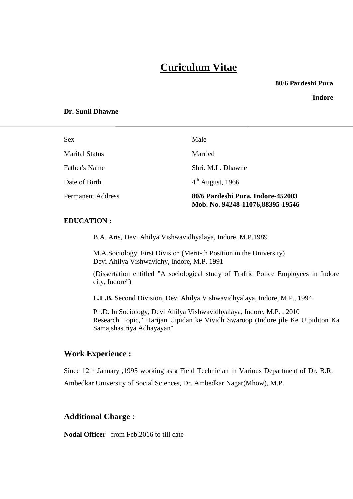# **Curiculum Vitae**

**80/6 Pardeshi Pura**

**Indore**

#### **Dr. Sunil Dhawne**

| Sex                      | Male                                                                  |
|--------------------------|-----------------------------------------------------------------------|
| <b>Marital Status</b>    | Married                                                               |
| Father's Name            | Shri. M.L. Dhawne                                                     |
| Date of Birth            | $4th$ August, 1966                                                    |
| <b>Permanent Address</b> | 80/6 Pardeshi Pura, Indore-452003<br>Mob. No. 94248-11076,88395-19546 |

#### **EDUCATION :**

B.A. Arts, Devi Ahilya Vishwavidhyalaya, Indore, M.P.1989

M.A.Sociology, First Division (Merit-th Position in the University) Devi Ahilya Vishwavidhy, Indore, M.P. 1991

(Dissertation entitled "A sociological study of Traffic Police Employees in Indore city, Indore")

**L.L.B.** Second Division, Devi Ahilya Vishwavidhyalaya, Indore, M.P., 1994

Ph.D. In Sociology, Devi Ahilya Vishwavidhyalaya, Indore, M.P. , 2010 Research Topic," Harijan Utpidan ke Vividh Swaroop (Indore jile Ke Utpiditon Ka Samajshastriya Adhayayan"

### **Work Experience :**

Since 12th January ,1995 working as a Field Technician in Various Department of Dr. B.R. Ambedkar University of Social Sciences, Dr. Ambedkar Nagar(Mhow), M.P.

### **Additional Charge :**

**Nodal Officer** from Feb.2016 to till date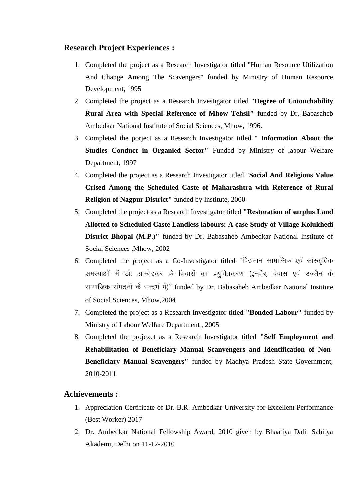# **Research Project Experiences :**

- 1. Completed the project as a Research Investigator titled "Human Resource Utilization And Change Among The Scavengers" funded by Ministry of Human Resource Development, 1995
- 2. Completed the project as a Research Investigator titled "**Degree of Untouchability Rural Area with Special Reference of Mhow Tehsil"** funded by Dr. Babasaheb Ambedkar National Institute of Social Sciences, Mhow, 1996.
- 3. Completed the porject as a Research Investigator titled " **Information About the Studies Conduct in Organied Sector"** Funded by Ministry of labour Welfare Department, 1997
- 4. Completed the project as a Research Investigator titled "**Social And Religious Value Crised Among the Scheduled Caste of Maharashtra with Reference of Rural Religion of Nagpur District"** funded by Institute, 2000
- 5. Completed the project as a Research Investigator titled **"Restoration of surplus Land Allotted to Scheduled Caste Landless labours: A case Study of Village Kolukhedi District Bhopal (M.P.)"** funded by Dr. Babasaheb Ambedkar National Institute of Social Sciences ,Mhow, 2002
- 6. Completed the project as a Co-Investigator titled "विद्यमान सामाजिक एवं सांस्कृतिक समस्याओं में डॉ. आम्बेडकर के विचारों का प्रयुक्तिकरण (इन्दौर, देवास एवं उज्जैन के सामाजिक संगठनों के सन्दर्भ में)" funded by Dr. Babasaheb Ambedkar National Institute of Social Sciences, Mhow,2004
- 7. Completed the project as a Research Investigator titled **"Bonded Labour"** funded by Ministry of Labour Welfare Department , 2005
- 8. Completed the projexct as a Research Investigator titled **"Self Employment and Rehabilitation of Beneficiary Manual Scanvengers and Identification of Non-Beneficiary Manual Scavengers"** funded by Madhya Pradesh State Government; 2010-2011

# **Achievements :**

- 1. Appreciation Certificate of Dr. B.R. Ambedkar University for Excellent Performance (Best Worker) 2017
- 2. Dr. Ambedkar National Fellowship Award, 2010 given by Bhaatiya Dalit Sahitya Akademi, Delhi on 11-12-2010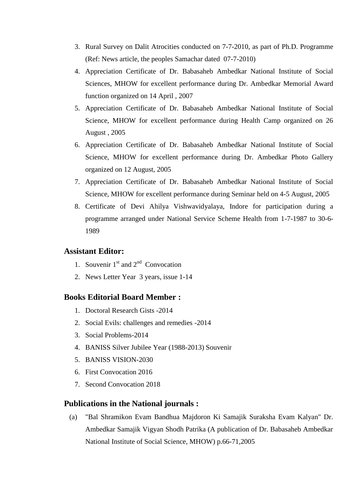- 3. Rural Survey on Dalit Atrocities conducted on 7-7-2010, as part of Ph.D. Programme (Ref: News article, the peoples Samachar dated 07-7-2010)
- 4. Appreciation Certificate of Dr. Babasaheb Ambedkar National Institute of Social Sciences, MHOW for excellent performance during Dr. Ambedkar Memorial Award function organized on 14 April , 2007
- 5. Appreciation Certificate of Dr. Babasaheb Ambedkar National Institute of Social Science, MHOW for excellent performance during Health Camp organized on 26 August , 2005
- 6. Appreciation Certificate of Dr. Babasaheb Ambedkar National Institute of Social Science, MHOW for excellent performance during Dr. Ambedkar Photo Gallery organized on 12 August, 2005
- 7. Appreciation Certificate of Dr. Babasaheb Ambedkar National Institute of Social Science, MHOW for excellent performance during Seminar held on 4-5 August, 2005
- 8. Certificate of Devi Ahilya Vishwavidyalaya, Indore for participation during a programme arranged under National Service Scheme Health from 1-7-1987 to 30-6- 1989

## **Assistant Editor:**

- 1. Souvenir  $1<sup>st</sup>$  and  $2<sup>nd</sup>$  Convocation
- 2. News Letter Year 3 years, issue 1-14

## **Books Editorial Board Member :**

- 1. Doctoral Research Gists -2014
- 2. Social Evils: challenges and remedies -2014
- 3. Social Problems-2014
- 4. BANISS Silver Jubilee Year (1988-2013) Souvenir
- 5. BANISS VISION-2030
- 6. First Convocation 2016
- 7. Second Convocation 2018

## **Publications in the National journals :**

(a) "Bal Shramikon Evam Bandhua Majdoron Ki Samajik Suraksha Evam Kalyan" Dr. Ambedkar Samajik Vigyan Shodh Patrika (A publication of Dr. Babasaheb Ambedkar National Institute of Social Science, MHOW) p.66-71,2005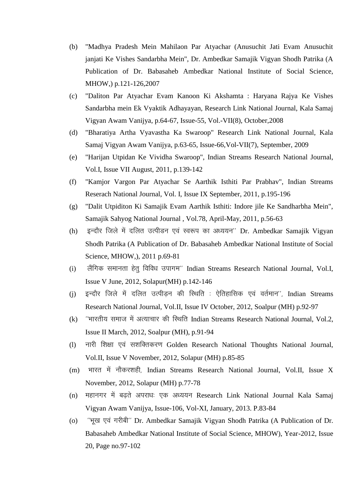- (b) "Madhya Pradesh Mein Mahilaon Par Atyachar (Anusuchit Jati Evam Anusuchit janjati Ke Vishes Sandarbha Mein", Dr. Ambedkar Samajik Vigyan Shodh Patrika (A Publication of Dr. Babasaheb Ambedkar National Institute of Social Science, MHOW,) p.121-126,2007
- (c) "Daliton Par Atyachar Evam Kanoon Ki Akshamta : Haryana Rajya Ke Vishes Sandarbha mein Ek Vyaktik Adhayayan, Research Link National Journal, Kala Samaj Vigyan Awam Vanijya, p.64-67, Issue-55, Vol.-VII(8), October,2008
- (d) "Bharatiya Artha Vyavastha Ka Swaroop" Research Link National Journal, Kala Samaj Vigyan Awam Vanijya, p.63-65, Issue-66,Vol-VII(7), September, 2009
- (e) "Harijan Utpidan Ke Vividha Swaroop", Indian Streams Research National Journal, Vol.I, Issue VII August, 2011, p.139-142
- (f) "Kamjor Vargon Par Atyachar Se Aarthik Isthiti Par Prabhav", Indian Streams Reserach National Journal, Vol. I, Issue IX September, 2011, p.195-196
- (g) "Dalit Utpiditon Ki Samajik Evam Aarthik Isthiti: Indore jile Ke Sandharbha Mein", Samajik Sahyog National Journal , Vol.78, April-May, 2011, p.56-63
- (h) इन्दौर जिले में दलित उत्पीडन एवं स्वरूप का अध्ययन'' Dr. Ambedkar Samajik Vigyan Shodh Patrika (A Publication of Dr. Babasaheb Ambedkar National Institute of Social Science, MHOW,), 2011 p.69-81
- (i) लैंगिक समानता हेतू विविध उपागम'' Indian Streams Research National Journal, Vol.I, Issue V June, 2012, Solapur(MH) p.142-146
- (j) इन्दौर जिले में दलित उत्पीड़न की रिथति : ऐतिहासिक एवं वर्तमान'', Indian Streams Research National Journal, Vol.II, Issue IV October, 2012, Soalpur (MH) p.92-97
- (k) "भारतीय समाज में अत्याचार की स्थिति Indian Streams Research National Journal, Vol.2, Issue II March, 2012, Soalpur (MH), p.91-94
- (I) नारी शिक्षा एवं सशक्तिकरण Golden Research National Thoughts National Journal, Vol.II, Issue V November, 2012, Solapur (MH) p.85-85
- (m) भारत में नौकरशही, Indian Streams Research National Journal, Vol.II, Issue X November, 2012, Solapur (MH) p.77-78
- (n) महानगर में बढ़ते अपराधः एक अध्ययन Research Link National Journal Kala Samaj Vigyan Awam Vanijya, Issue-106, Vol-XI, January, 2013. P.83-84
- (o) "भूख एवं गरीबी" Dr. Ambedkar Samajik Vigyan Shodh Patrika (A Publication of Dr. Babasaheb Ambedkar National Institute of Social Science, MHOW), Year-2012, Issue 20, Page no.97-102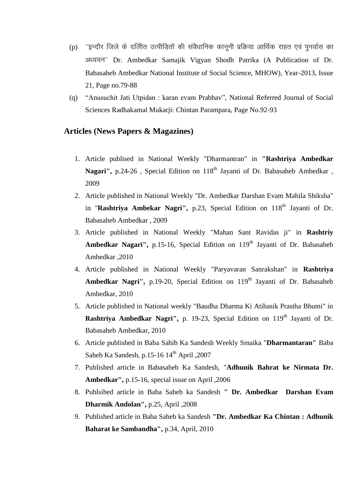- (p) "इन्दौर जिले के दलिीत उत्पीड़ितों की संवैधानिक कानूनी प्रक्रिया आर्थिक राहत एवं पुनर्वास का अध्ययन" Dr. Ambedkar Samajik Vigyan Shodh Patrika (A Publication of Dr. Babasaheb Ambedkar National Institute of Social Science, MHOW), Year-2013, Issue 21, Page no.79-88
- (q) "Anusuchit Jati Utpidan : karan evam Prabhav", National Referred Journal of Social Sciences Radhakamal Mukarji: Chintan Parampara, Page No.92-93

## **Articles (News Papers & Magazines)**

- 1. Article publised in National Weekly "Dharmantran" in **"Rashtriya Ambedkar**  Nagari", p.24-26, Special Edition on 118<sup>th</sup> Jayanti of Dr. Babasaheb Ambedkar, 2009
- 2. Article published in National Weekly "Dr. Ambedkar Darshan Evam Mahila Shiksha" in "Rashtriya Ambekar Nagri", p.23, Special Edition on 118<sup>th</sup> Jayanti of Dr. Babasaheb Ambedkar , 2009
- 3. Article published in National Weekly "Mahan Sant Ravidas ji" in **Rashtriy Ambedkar Nagari'',** p.15-16, Special Edition on 119<sup>th</sup> Jayanti of Dr. Babasaheb Ambedkar ,2010
- 4. Article published in National Weekly "Paryavaran Sanrakshan" in **Rashtriya**  Ambedkar Nagri", p.19-20, Special Edition on 119<sup>th</sup> Jayanti of Dr. Babasaheb Ambedkar, 2010
- 5. Article published in National weekly "Baudha Dharma Ki Atihasik Prastha Bhumi" in **Rashtriya Ambedkar Nagri'',** p. 19-23, Special Edition on 119<sup>th</sup> Jayanti of Dr. Babasaheb Ambedkar, 2010
- 6. Article published in Baba Sahib Ka Sandesh Weekly Smaika "**Dharmantaran"** Baba Saheb Ka Sandesh, p.15-16 14<sup>th</sup> April ,2007
- 7. Published article in Babasaheb Ka Sandesh, "**Adhunik Bahrat ke Nirmata Dr. Ambedkar",** p.15-16, special issue on April ,2006
- 8. Publsihed article in Baba Saheb ka Sandesh **" Dr. Ambedkar Darshan Evam Dharmik Andolan",** p.25, April ,2008
- 9. Published article in Baba Saheb ka Sandesh **"Dr. Ambedkar Ka Chintan : Adhunik Baharat ke Sambandha",** p.34, April, 2010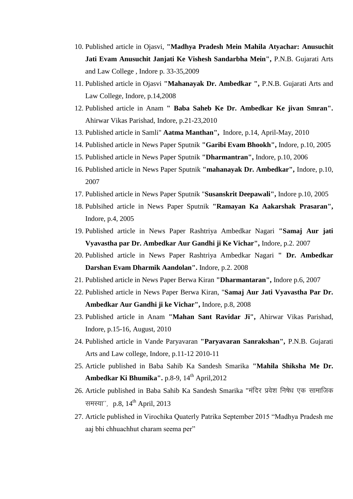- 10. Published article in Ojasvi, **"Madhya Pradesh Mein Mahila Atyachar: Anusuchit Jati Evam Anusuchit Janjati Ke Vishesh Sandarbha Mein",** P.N.B. Gujarati Arts and Law College , Indore p. 33-35,2009
- 11. Published article in Ojasvi **"Mahanayak Dr. Ambedkar ",** P.N.B. Gujarati Arts and Law College, Indore, p.14,2008
- 12. Published article in Anam **" Baba Saheb Ke Dr. Ambedkar Ke jivan Smran".**  Ahirwar Vikas Parishad, Indore, p.21-23,2010
- 13. Published article in Samli" **Aatma Manthan",** Indore, p.14, April-May, 2010
- 14. Published article in News Paper Sputnik **"Garibi Evam Bhookh",** Indore, p.10, 2005
- 15. Published article in News Paper Sputnik **"Dharmantran",** Indore, p.10, 2006
- 16. Published article in News Paper Sputnik **"mahanayak Dr. Ambedkar",** Indore, p.10, 2007
- 17. Published article in News Paper Sputnik "**Susanskrit Deepawali",** Indore p.10, 2005
- 18. Publsihed article in News Paper Sputnik **"Ramayan Ka Aakarshak Prasaran",**  Indore, p.4, 2005
- 19. Published article in News Paper Rashtriya Ambedkar Nagari **"Samaj Aur jati Vyavastha par Dr. Ambedkar Aur Gandhi ji Ke Vichar",** Indore, p.2. 2007
- 20. Published article in News Paper Rashtriya Ambedkar Nagari **" Dr. Ambedkar Darshan Evam Dharmik Aandolan".** Indore, p.2. 2008
- 21. Published article in News Paper Berwa Kiran **"Dharmantaran",** Indore p.6, 2007
- 22. Published article in News Paper Berwa Kiran, "**Samaj Aur Jati Vyavastha Par Dr. Ambedkar Aur Gandhi ji ke Vichar",** Indore, p.8, 2008
- 23. Published article in Anam **"Mahan Sant Ravidar Ji",** Ahirwar Vikas Parishad, Indore, p.15-16, August, 2010
- 24. Published article in Vande Paryavaran **"Paryavaran Sanrakshan",** P.N.B. Gujarati Arts and Law college, Indore, p.11-12 2010-11
- 25. Article published in Baba Sahib Ka Sandesh Smarika **"Mahila Shiksha Me Dr. Ambedkar Ki Bhumika''.** p.8-9, 14<sup>th</sup> April, 2012
- 26. Article published in Baba Sahib Ka Sandesh Smarika "मंदिर प्रवेश निषेध एक सामाजिक समस्या", p.8,  $14^{th}$  April, 2013
- 27. Article published in Virochika Quaterly Patrika September 2015 "Madhya Pradesh me aaj bhi chhuachhut charam seema per"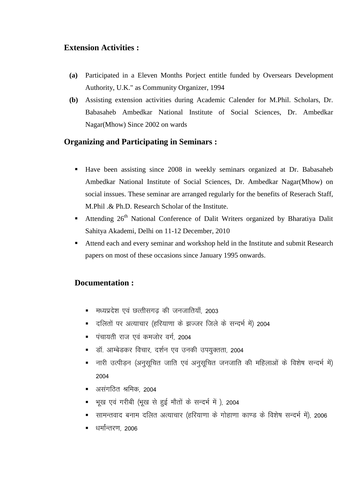# **Extension Activities :**

- **(a)** Participated in a Eleven Months Porject entitle funded by Oversears Development Authority, U.K." as Community Organizer, 1994
- **(b)** Assisting extension activities during Academic Calender for M.Phil. Scholars, Dr. Babasaheb Ambedkar National Institute of Social Sciences, Dr. Ambedkar Nagar(Mhow) Since 2002 on wards

# **Organizing and Participating in Seminars :**

- Have been assisting since 2008 in weekly seminars organized at Dr. Babasaheb Ambedkar National Institute of Social Sciences, Dr. Ambedkar Nagar(Mhow) on social inssues. These seminar are arranged regularly for the benefits of Reserach Staff, M.Phil .& Ph.D. Research Scholar of the Institute.
- **Attending 26<sup>th</sup> National Conference of Dalit Writers organized by Bharatiya Dalit** Sahitya Akademi, Delhi on 11-12 December, 2010
- Attend each and every seminar and workshop held in the Institute and submit Research papers on most of these occasions since January 1995 onwards.

# **Documentation :**

- e) मध्यप्रदेश एवं छत्तीसगढ की जनजातियाँ, 2003
- nfiang if de reading the same if the continuity in the season and the season and the season in the season and t
- **■** पंचायती राज एवं कमजोर वर्ग, 2004
- डॉ. आम्बेडकर विचार, दर्शन एव उनकी उपयुक्तता, 2004
- नारी उत्पीड़न (अनुसूचित जाति एवं अनुसूचित जनजाति की महिलाओं के विशेष सन्दर्भ में) 2004
- $\blacksquare$  असंगतित श्रमिक २००४
- भूख एवं गरीबी (भूख से हुई मौतों के सन्दर्भ में ), 2004
- सामन्तवाद बनाम दलित अत्याचार (हरियाणा के गोहाणा काण्ड के विशेष सन्दर्भ में), 2006
- धर्मांन्तरण 2006